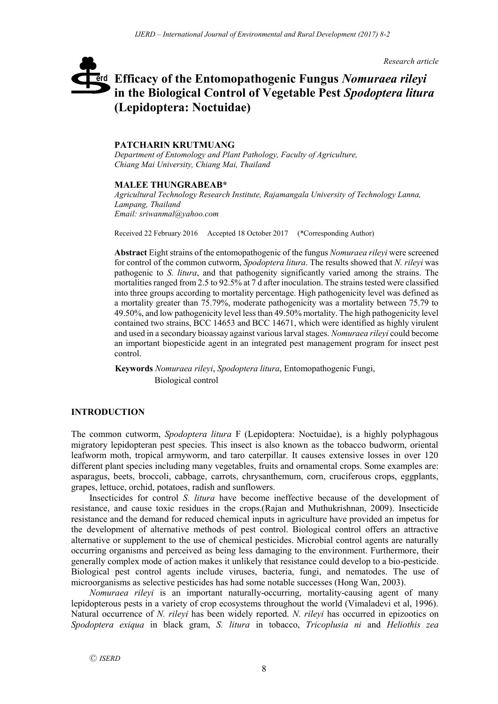*Research article*

# **Efficacy of the Entomopathogenic Fungus** *Nomuraea rileyi*  erd **in the Biological Control of Vegetable Pest** *Spodoptera litura*  **(Lepidoptera: Noctuidae)**

### **PATCHARIN KRUTMUANG**

*Department of Entomology and Plant Pathology, Faculty of Agriculture, Chiang Mai University, Chiang Mai, Thailand*

#### **MALEE THUNGRABEAB\***

*Agricultural Technology Research Institute, Rajamangala University of Technology Lanna, Lampang, Thailand Email: sriwanmal@yahoo.com*

Received 22 February 2016 Accepted 18 October 2017 (\*Corresponding Author)

**Abstract** Eight strains of the entomopathogenic of the fungus *Nomuraea rileyi* were screened for control of the common cutworm, *Spodoptera litura*. The results showed that *N. rileyi* was pathogenic to *S. litura*, and that pathogenity significantly varied among the strains. The mortalities ranged from 2.5 to 92.5% at 7 d after inoculation. The strains tested were classified into three groups according to mortality percentage. High pathogenicity level was defined as a mortality greater than 75.79%, moderate pathogenicity was a mortality between 75.79 to 49.50%, and low pathogenicity level less than 49.50% mortality. The high pathogenicity level contained two strains, BCC 14653 and BCC 14671, which were identified as highly virulent and used in a secondary bioassay against various larval stages. *Nomuraea rileyi* could become an important biopesticide agent in an integrated pest management program for insect pest control.

**Keywords** *Nomuraea rileyi*, *Spodoptera litura*, Entomopathogenic Fungi, Biological control

## **INTRODUCTION**

The common cutworm, *Spodoptera litura* F (Lepidoptera: Noctuidae), is a highly polyphagous migratory lepidopteran pest species. This insect is also known as the tobacco budworm, oriental leafworm moth, tropical armyworm, and taro caterpillar. It causes extensive losses in over 120 different plant species including many vegetables, fruits and ornamental crops. Some examples are: asparagus, beets, broccoli, cabbage, carrots, chrysanthemum, corn, cruciferous crops, eggplants, grapes, lettuce, orchid, potatoes, radish and sunflowers.

Insecticides for control *S. litura* have become ineffective because of the development of resistance, and cause toxic residues in the crops.(Rajan and Muthukrishnan, 2009). Insecticide resistance and the demand for reduced chemical inputs in agriculture have provided an impetus for the development of alternative methods of pest control. Biological control offers an attractive alternative or supplement to the use of chemical pesticides. Microbial control agents are naturally occurring organisms and perceived as being less damaging to the environment. Furthermore, their generally complex mode of action makes it unlikely that resistance could develop to a bio-pesticide. Biological pest control agents include viruses, bacteria, fungi, and nematodes. The use of microorganisms as selective pesticides has had some notable successes (Hong Wan, 2003).

*Nomuraea rileyi* is an important naturally-occurring, mortality-causing agent of many lepidopterous pests in a variety of crop ecosystems throughout the world (Vimaladevi et al, 1996). Natural occurrence of *N. rileyi* has been widely reported. *N. rileyi* has occurred in epizootics on *Spodoptera exiqua* in black gram, *S. litura* in tobacco, *Tricoplusia ni* and *Heliothis zea*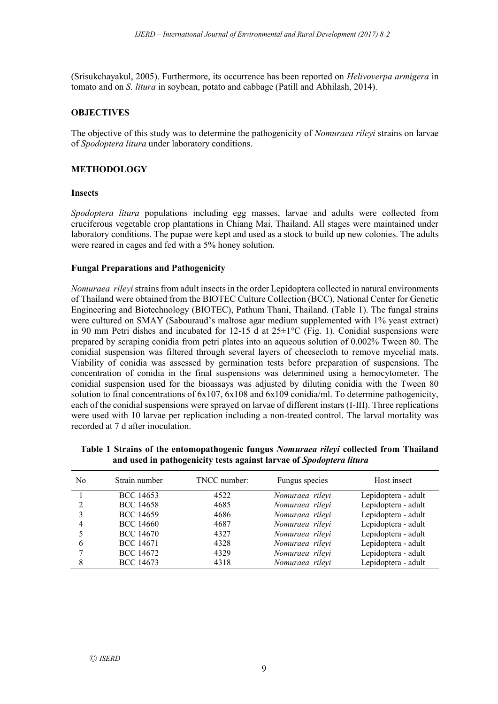(Srisukchayakul, 2005). Furthermore, its occurrence has been reported on *Helivoverpa armigera* in tomato and on *S. litura* in soybean, potato and cabbage (Patill and Abhilash, 2014).

## **OBJECTIVES**

The objective of this study was to determine the pathogenicity of *Nomuraea rileyi* strains on larvae of *Spodoptera litura* under laboratory conditions.

## **METHODOLOGY**

#### **Insects**

*Spodoptera litura* populations including egg masses, larvae and adults were collected from cruciferous vegetable crop plantations in Chiang Mai, Thailand. All stages were maintained under laboratory conditions. The pupae were kept and used as a stock to build up new colonies. The adults were reared in cages and fed with a 5% honey solution.

#### **Fungal Preparations and Pathogenicity**

*Nomuraea rileyi* strains from adult insects in the order Lepidoptera collected in natural environments of Thailand were obtained from the BIOTEC Culture Collection (BCC), National Center for Genetic Engineering and Biotechnology (BIOTEC), Pathum Thani, Thailand. (Table 1). The fungal strains were cultured on SMAY (Sabouraud's maltose agar medium supplemented with 1% yeast extract) in 90 mm Petri dishes and incubated for 12-15 d at  $25\pm1^{\circ}$ C (Fig. 1). Conidial suspensions were prepared by scraping conidia from petri plates into an aqueous solution of 0.002% Tween 80. The conidial suspension was filtered through several layers of cheesecloth to remove mycelial mats. Viability of conidia was assessed by germination tests before preparation of suspensions. The concentration of conidia in the final suspensions was determined using a hemocytometer. The conidial suspension used for the bioassays was adjusted by diluting conidia with the Tween 80 solution to final concentrations of 6x107, 6x108 and 6x109 conidia/ml. To determine pathogenicity, each of the conidial suspensions were sprayed on larvae of different instars (I-III). Three replications were used with 10 larvae per replication including a non-treated control. The larval mortality was recorded at 7 d after inoculation.

|  | Table 1 Strains of the entomopathogenic fungus <i>Nomuraea rileyi</i> collected from Thailand |  |  |  |  |
|--|-----------------------------------------------------------------------------------------------|--|--|--|--|
|  | and used in pathogenicity tests against larvae of Spodoptera litura                           |  |  |  |  |

| N <sub>0</sub> | Strain number    | TNCC number: | Fungus species  | Host insect         |
|----------------|------------------|--------------|-----------------|---------------------|
|                | <b>BCC 14653</b> | 4522         | Nomuraea rileyi | Lepidoptera - adult |
|                | <b>BCC 14658</b> | 4685         | Nomuraea rileyi | Lepidoptera - adult |
| 3              | <b>BCC 14659</b> | 4686         | Nomuraea rileyi | Lepidoptera - adult |
| 4              | <b>BCC 14660</b> | 4687         | Nomuraea rileyi | Lepidoptera - adult |
|                | <b>BCC 14670</b> | 4327         | Nomuraea rileyi | Lepidoptera - adult |
| 6              | <b>BCC 14671</b> | 4328         | Nomuraea rileyi | Lepidoptera - adult |
|                | <b>BCC 14672</b> | 4329         | Nomuraea rileyi | Lepidoptera - adult |
|                | <b>BCC 14673</b> | 4318         | Nomuraea rilevi | Lepidoptera - adult |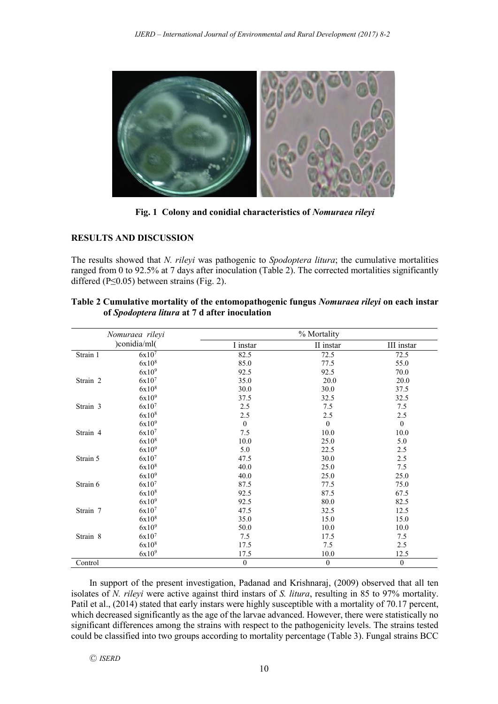

**Fig. 1 Colony and conidial characteristics of** *Nomuraea rileyi*

## **RESULTS AND DISCUSSION**

The results showed that *N. rileyi* was pathogenic to *Spodoptera litura*; the cumulative mortalities ranged from 0 to 92.5% at 7 days after inoculation (Table 2). The corrected mortalities significantly differed ( $P \leq 0.05$ ) between strains (Fig. 2).

|              | Nomuraea rileyi   | % Mortality      |                  |                  |  |
|--------------|-------------------|------------------|------------------|------------------|--|
| )conidia/ml( |                   | I instar         | II instar        | III instar       |  |
| Strain 1     | 6x10 <sup>7</sup> | 82.5             | 72.5             | 72.5             |  |
|              | 6x10 <sup>8</sup> | 85.0             | 77.5             | 55.0             |  |
|              | 6x10 <sup>9</sup> | 92.5             | 92.5             | 70.0             |  |
| Strain 2     | 6x10 <sup>7</sup> | 35.0             | 20.0             | 20.0             |  |
|              | 6x10 <sup>8</sup> | 30.0             | 30.0             | 37.5             |  |
|              | 6x10 <sup>9</sup> | 37.5             | 32.5             | 32.5             |  |
| Strain 3     | 6x10 <sup>7</sup> | 2.5              | 7.5              | 7.5              |  |
|              | 6x10 <sup>8</sup> | 2.5              | 2.5              | 2.5              |  |
|              | 6x10 <sup>9</sup> | $\mathbf{0}$     | $\mathbf{0}$     | $\mathbf{0}$     |  |
| Strain 4     | 6x10 <sup>7</sup> | 7.5              | 10.0             | 10.0             |  |
|              | 6x10 <sup>8</sup> | 10.0             | 25.0             | 5.0              |  |
|              | 6x10 <sup>9</sup> | 5.0              | 22.5             | 2.5              |  |
| Strain 5     | 6x10 <sup>7</sup> | 47.5             | 30.0             | 2.5              |  |
|              | 6x10 <sup>8</sup> | 40.0             | 25.0             | 7.5              |  |
|              | 6x10 <sup>9</sup> | 40.0             | 25.0             | 25.0             |  |
| Strain 6     | 6x10 <sup>7</sup> | 87.5             | 77.5             | 75.0             |  |
|              | 6x10 <sup>8</sup> | 92.5             | 87.5             | 67.5             |  |
|              | 6x10 <sup>9</sup> | 92.5             | 80.0             | 82.5             |  |
| Strain 7     | 6x10 <sup>7</sup> | 47.5             | 32.5             | 12.5             |  |
|              | 6x10 <sup>8</sup> | 35.0             | 15.0             | 15.0             |  |
|              | 6x10 <sup>9</sup> | 50.0             | 10.0             | 10.0             |  |
| Strain 8     | 6x10 <sup>7</sup> | 7.5              | 17.5             | 7.5              |  |
|              | 6x10 <sup>8</sup> | 17.5             | 7.5              | 2.5              |  |
|              | 6x10 <sup>9</sup> | 17.5             | 10.0             | 12.5             |  |
| Control      |                   | $\boldsymbol{0}$ | $\boldsymbol{0}$ | $\boldsymbol{0}$ |  |

| Table 2 Cumulative mortality of the entomopathogenic fungus <i>Nomuraea rileyi</i> on each instar |  |
|---------------------------------------------------------------------------------------------------|--|
| of Spodoptera litura at 7 d after inoculation                                                     |  |

In support of the present investigation, Padanad and Krishnaraj, (2009) observed that all ten isolates of *N. rileyi* were active against third instars of *S. litura*, resulting in 85 to 97% mortality. Patil et al., (2014) stated that early instars were highly susceptible with a mortality of 70.17 percent, which decreased significantly as the age of the larvae advanced. However, there were statistically no significant differences among the strains with respect to the pathogenicity levels. The strains tested could be classified into two groups according to mortality percentage (Table 3). Fungal strains BCC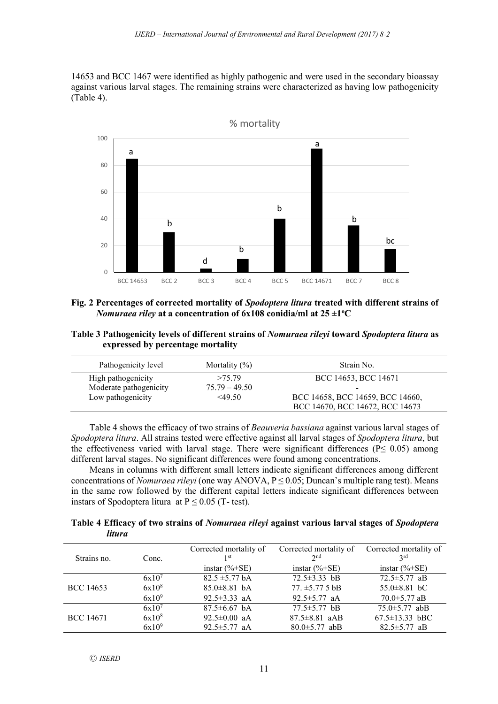14653 and BCC 1467 were identified as highly pathogenic and were used in the secondary bioassay against various larval stages. The remaining strains were characterized as having low pathogenicity (Table 4).



- **Fig. 2 Percentages of corrected mortality of** *Spodoptera litura* **treated with different strains of**  *Nomuraea riley* at a concentration of  $6x108$  conidia/ml at  $25\pm1^{\circ}$ C
- **Table 3 Pathogenicity levels of different strains of** *Nomuraea rileyi* **toward** *Spodoptera litura* **as expressed by percentage mortality**

| Pathogenicity level    | Mortality $(\%)$ | Strain No.                       |
|------------------------|------------------|----------------------------------|
| High pathogenicity     | >75.79           | BCC 14653, BCC 14671             |
| Moderate pathogenicity | $75.79 - 49.50$  | -                                |
| Low pathogenicity      | <49.50           | BCC 14658, BCC 14659, BCC 14660, |
|                        |                  | BCC 14670, BCC 14672, BCC 14673  |

Table 4 shows the efficacy of two strains of *Beauveria bassiana* against various larval stages of *Spodoptera litura*. All strains tested were effective against all larval stages of *Spodoptera litura*, but the effectiveness varied with larval stage. There were significant differences ( $P \le 0.05$ ) among different larval stages. No significant differences were found among concentrations.

Means in columns with different small letters indicate significant differences among different concentrations of *Nomuraea rileyi* (one way ANOVA,  $P \le 0.05$ ; Duncan's multiple rang test). Means in the same row followed by the different capital letters indicate significant differences between instars of Spodoptera litura at  $P \le 0.05$  (T- test).

**Table 4 Efficacy of two strains of** *Nomuraea rileyi* **against various larval stages of** *Spodoptera litura*

| Strains no.      | Conc.             | Corrected mortality of<br>1 <sup>st</sup> | Corrected mortality of<br>2 <sub>nd</sub> | Corrected mortality of<br>2rd |
|------------------|-------------------|-------------------------------------------|-------------------------------------------|-------------------------------|
|                  |                   | instar $(\% \pm SE)$                      | instar $(\% \pm SE)$                      | instar $(\% \pm SE)$          |
|                  | $6x10^{7}$        | $82.5 \pm 5.77$ bA                        | $72.5 \pm 3.33$ bB                        | $72.5 \pm 5.77$ aB            |
| <b>BCC 14653</b> | 6x10 <sup>8</sup> | $85.0\pm8.81$ bA                          | $77. \pm 5.77.5 \text{ bB}$               | $55.0 \pm 8.81$ bC            |
|                  | 6x10 <sup>9</sup> | 92.5 $\pm$ 3.33 aA                        | 92.5 $\pm$ 5.77 aA                        | 70.0 $\pm$ 5.77 aB            |
|                  | 6x10 <sup>7</sup> | $87.5\pm 6.67$ bA                         | $77.5 \pm 5.77$ bB                        | $75.0 \pm 5.77$ abB           |
| BCC 14671        | 6x10 <sup>8</sup> | 92.5 $\pm$ 0.00 aA                        | $87.5 \pm 8.81$ aAB                       | $67.5 \pm 13.33$ bBC          |
|                  | 6x10 <sup>9</sup> | 92.5 $\pm$ 5.77 aA                        | $80.0 \pm 5.77$ abB                       | $82.5 \pm 5.77$ aB            |